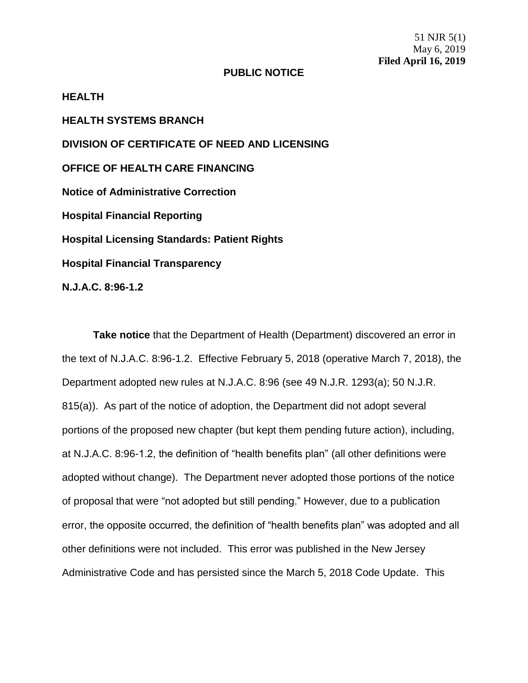51 NJR 5(1) May 6, 2019 **Filed April 16, 2019**

## **PUBLIC NOTICE**

**HEALTH HEALTH SYSTEMS BRANCH DIVISION OF CERTIFICATE OF NEED AND LICENSING OFFICE OF HEALTH CARE FINANCING Notice of Administrative Correction Hospital Financial Reporting Hospital Licensing Standards: Patient Rights Hospital Financial Transparency N.J.A.C. 8:96-1.2**

**Take notice** that the Department of Health (Department) discovered an error in the text of N.J.A.C. 8:96-1.2. Effective February 5, 2018 (operative March 7, 2018), the Department adopted new rules at N.J.A.C. 8:96 (see 49 N.J.R. 1293(a); 50 N.J.R. 815(a)). As part of the notice of adoption, the Department did not adopt several portions of the proposed new chapter (but kept them pending future action), including, at N.J.A.C. 8:96-1.2, the definition of "health benefits plan" (all other definitions were adopted without change). The Department never adopted those portions of the notice of proposal that were "not adopted but still pending." However, due to a publication error, the opposite occurred, the definition of "health benefits plan" was adopted and all other definitions were not included. This error was published in the New Jersey Administrative Code and has persisted since the March 5, 2018 Code Update. This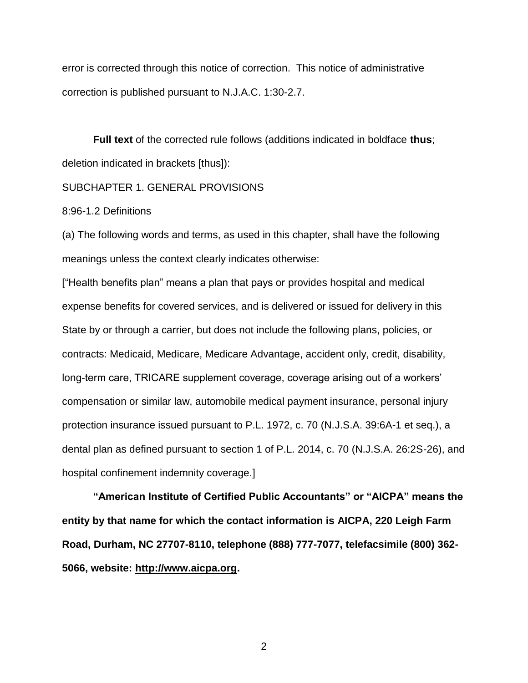error is corrected through this notice of correction. This notice of administrative correction is published pursuant to N.J.A.C. 1:30-2.7.

**Full text** of the corrected rule follows (additions indicated in boldface **thus**; deletion indicated in brackets [thus]):

## SUBCHAPTER 1. GENERAL PROVISIONS

## 8:96-1.2 Definitions

(a) The following words and terms, as used in this chapter, shall have the following meanings unless the context clearly indicates otherwise:

["Health benefits plan" means a plan that pays or provides hospital and medical expense benefits for covered services, and is delivered or issued for delivery in this State by or through a carrier, but does not include the following plans, policies, or contracts: Medicaid, Medicare, Medicare Advantage, accident only, credit, disability, long-term care, TRICARE supplement coverage, coverage arising out of a workers' compensation or similar law, automobile medical payment insurance, personal injury protection insurance issued pursuant to P.L. 1972, c. 70 (N.J.S.A. 39:6A-1 et seq.), a dental plan as defined pursuant to section 1 of P.L. 2014, c. 70 (N.J.S.A. 26:2S-26), and hospital confinement indemnity coverage.]

**"American Institute of Certified Public Accountants" or "AICPA" means the entity by that name for which the contact information is AICPA, 220 Leigh Farm Road, Durham, NC 27707-8110, telephone (888) 777-7077, telefacsimile (800) 362- 5066, website: http://www.aicpa.org.**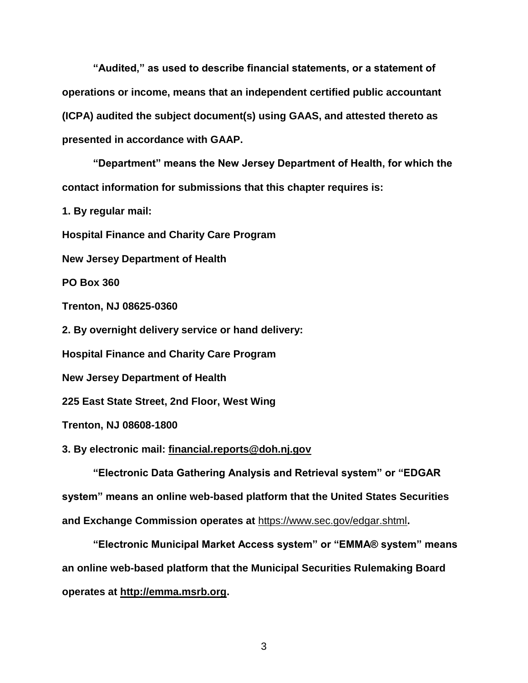**"Audited," as used to describe financial statements, or a statement of operations or income, means that an independent certified public accountant (ICPA) audited the subject document(s) using GAAS, and attested thereto as presented in accordance with GAAP.**

**"Department" means the New Jersey Department of Health, for which the contact information for submissions that this chapter requires is:**

**1. By regular mail:**

**Hospital Finance and Charity Care Program**

**New Jersey Department of Health**

**PO Box 360**

**Trenton, NJ 08625-0360**

**2. By overnight delivery service or hand delivery:**

**Hospital Finance and Charity Care Program**

**New Jersey Department of Health**

**225 East State Street, 2nd Floor, West Wing**

**Trenton, NJ 08608-1800**

**3. By electronic mail: financial.reports@doh.nj.gov**

**"Electronic Data Gathering Analysis and Retrieval system" or "EDGAR system" means an online web-based platform that the United States Securities and Exchange Commission operates at** https://www.sec.gov/edgar.shtml**.**

**"Electronic Municipal Market Access system" or "EMMA® system" means an online web-based platform that the Municipal Securities Rulemaking Board operates at http://emma.msrb.org.**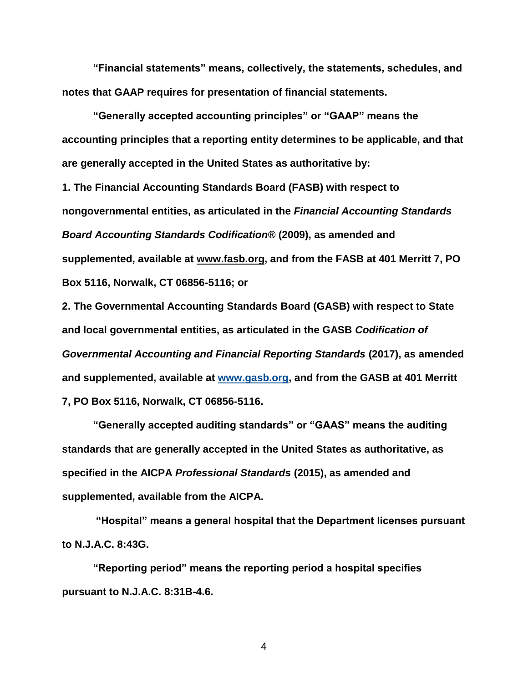**"Financial statements" means, collectively, the statements, schedules, and notes that GAAP requires for presentation of financial statements.**

**"Generally accepted accounting principles" or "GAAP" means the accounting principles that a reporting entity determines to be applicable, and that are generally accepted in the United States as authoritative by:**

**1. The Financial Accounting Standards Board (FASB) with respect to nongovernmental entities, as articulated in the** *Financial Accounting Standards Board Accounting Standards Codification®* **(2009), as amended and supplemented, available at www.fasb.org, and from the FASB at 401 Merritt 7, PO Box 5116, Norwalk, CT 06856-5116; or**

**2. The Governmental Accounting Standards Board (GASB) with respect to State and local governmental entities, as articulated in the GASB** *Codification of Governmental Accounting and Financial Reporting Standards* **(2017), as amended and supplemented, available at [www.gasb.org,](http://www.gasb.org/) and from the GASB at 401 Merritt 7, PO Box 5116, Norwalk, CT 06856-5116.**

**"Generally accepted auditing standards" or "GAAS" means the auditing standards that are generally accepted in the United States as authoritative, as specified in the AICPA** *Professional Standards* **(2015), as amended and supplemented, available from the AICPA.**

**"Hospital" means a general hospital that the Department licenses pursuant to N.J.A.C. 8:43G.**

**"Reporting period" means the reporting period a hospital specifies pursuant to N.J.A.C. 8:31B-4.6.**